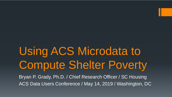# Using ACS Microdata to Compute Shelter Poverty

Bryan P. Grady, Ph.D. / Chief Research Officer / SC Housing ACS Data Users Conference / May 14, 2019 / Washington, DC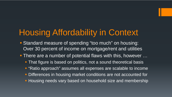# Housing Affordability in Context

- **Standard measure of spending "too much" on housing:** Over 30 percent of income on mortgage/rent and utilities
- **There are a number of potential flaws with this, however ...** 
	- **That figure is based on politics, not a sound theoretical basis**
	- **"Ratio approach" assumes all expenses are scalable to income**
	- **Differences in housing market conditions are not accounted for**
	- **Housing needs vary based on household size and membership**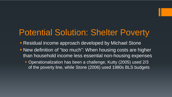## Potential Solution: Shelter Poverty

- **Residual income approach developed by Michael Stone**
- New definition of "too much": When housing costs are higher than household income less essential non-housing expenses
	- Operationalization has been a challenge; Kutty (2005) used 2/3 of the poverty line, while Stone (2006) used 1980s BLS budgets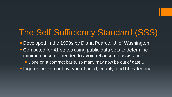## The Self-Sufficiency Standard (SSS)

- Developed in the 1990s by Diana Pearce, U. of Washington
- **Computed for 41 states using public data sets to determine** minimum income needed to avoid reliance on assistance
	- Done on a contract basis, so many may now be out of date …
- **Figures broken out by type of need, county, and hh category**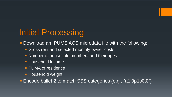# Initial Processing

- Download an IPUMS ACS microdata file with the following:
	- **Gross rent and selected monthly owner costs**
	- Number of household members and their ages
	- **Household income**
	- **PUMA of residence**
	- **Household weight**

Encode bullet 2 to match SSS categories (e.g., "a1i0p1s0t0")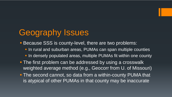## Geography Issues

- **Because SSS is county-level, there are two problems:** 
	- **In rural and suburban areas, PUMAs can span multiple counties**
	- In densely populated areas, multiple PUMAs fit within one county
- **The first problem can be addressed by using a crosswalk** weighted average method (e.g., Geocorr from U. of Missouri)
- **The second cannot, so data from a within-county PUMA that** is atypical of other PUMAs in that county may be inaccurate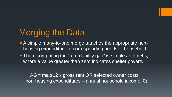# Merging the Data

- A simple many-to-one merge attaches the appropriate nonhousing expenditure to corresponding heads of household
- **Then, computing the "affordability gap" is simple arithmetic,** where a value greater than zero indicates shelter poverty:

 $AG = max(12 \times gross$  rent OR selected owner costs + non-housing expenditures – annual household income, 0)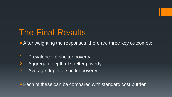#### The Final Results

**- After weighting the responses, there are three key outcomes:** 

- 1. Prevalence of shelter poverty
- 2. Aggregate depth of shelter poverty
- 3. Average depth of shelter poverty

**Each of these can be compared with standard cost burden**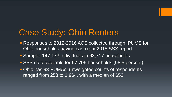#### Case Study: Ohio Renters

- **Responses to 2012-2016 ACS collected through IPUMS for** Ohio households paying cash rent 2015 SSS report
- Sample: 147,173 individuals in 68,717 households
- SSS data available for 67,706 households (98.5 percent)
- **Ohio has 93 PUMAs; unweighted counts of respondents** ranged from 258 to 1,964, with a median of 653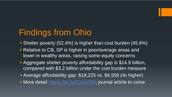# Findings from Ohio

- Shelter poverty (52.4%) is higher than cost burden (45.6%)
- **Relative to CB, SP is higher in poor/average areas and** lower in wealthy areas, raising some equity concerns
- **Aggregate shelter poverty affordability gap is \$14.9 billion,** compared with \$3.2 billion under the cost burden measure
- Average affordability gap: \$18,225 vs. \$4,559 (4x higher)
- More detail:<https://bit.ly/2GrxV0W>; journal article to come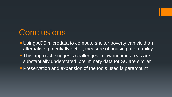#### **Conclusions**

- Using ACS microdata to compute shelter poverty can yield an alternative, potentially better, measure of housing affordability
- **This approach suggests challenges in low-income areas are** substantially understated; preliminary data for SC are similar
- **Preservation and expansion of the tools used is paramount**